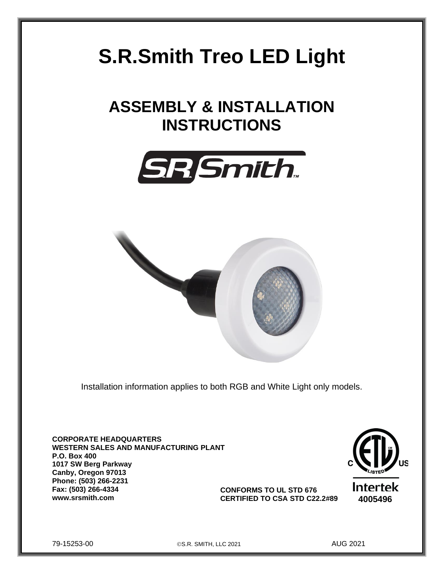# **S.R.Smith Treo LED Light**

# **ASSEMBLY & INSTALLATION INSTRUCTIONS**





Installation information applies to both RGB and White Light only models.

**CORPORATE HEADQUARTERS WESTERN SALES AND MANUFACTURING PLANT P.O. Box 400 1017 SW Berg Parkway Canby, Oregon 97013 Phone: (503) 266-2231 Fax: (503) 266-4334 www.srsmith.com 4005496 CERTIFIED TO CSA STD C22.2#89**



**CONFORMS TO UL STD 676**

79-15253-00 ©S.R. SMITH, LLC 2021 AUG 2021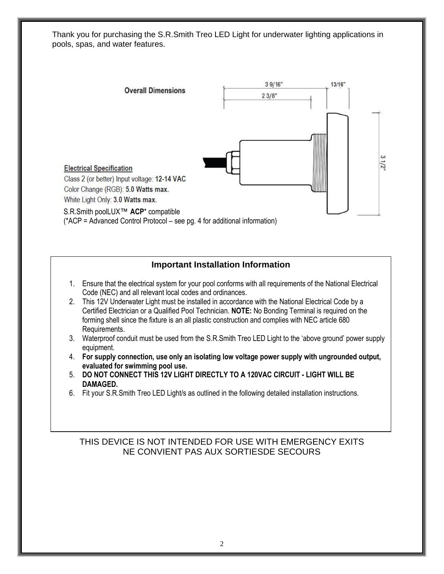Thank you for purchasing the S.R.Smith Treo LED Light for underwater lighting applications in pools, spas, and water features.



### **Important Installation Information**

- 1. Ensure that the electrical system for your pool conforms with all requirements of the National Electrical Code (NEC) and all relevant local codes and ordinances.
- 2. This 12V Underwater Light must be installed in accordance with the National Electrical Code by a Certified Electrician or a Qualified Pool Technician. **NOTE:** No Bonding Terminal is required on the forming shell since the fixture is an all plastic construction and complies with NEC article 680 Requirements.
- 3. Waterproof conduit must be used from the S.R.Smith Treo LED Light to the 'above ground' power supply equipment.
- 4. **For supply connection, use only an isolating low voltage power supply with ungrounded output, evaluated for swimming pool use.**
- 5. **DO NOT CONNECT THIS 12V LIGHT DIRECTLY TO A 120VAC CIRCUIT - LIGHT WILL BE DAMAGED.**
- 6. Fit your S.R.Smith Treo LED Light/s as outlined in the following detailed installation instructions.

### THIS DEVICE IS NOT INTENDED FOR USE WITH EMERGENCY EXITS NE CONVIENT PAS AUX SORTIESDE SECOURS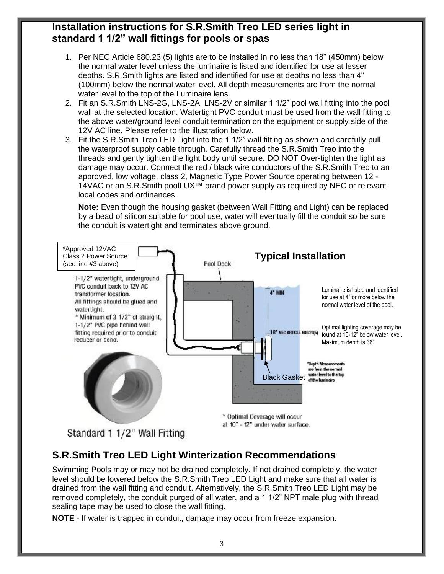# **Installation instructions for S.R.Smith Treo LED series light in standard 1 1/2" wall fittings for pools or spas**

- 1. Per NEC Article 680.23 (5) lights are to be installed in no less than 18" (450mm) below the normal water level unless the luminaire is listed and identified for use at lesser depths. S.R.Smith lights are listed and identified for use at depths no less than 4" (100mm) below the normal water level. All depth measurements are from the normal water level to the top of the Luminaire lens.
- 2. Fit an S.R.Smith LNS-2G, LNS-2A, LNS-2V or similar 1 1/2" pool wall fitting into the pool wall at the selected location. Watertight PVC conduit must be used from the wall fitting to the above water/ground level conduit termination on the equipment or supply side of the 12V AC line. Please refer to the illustration below.
- 3. Fit the S.R.Smith Treo LED Light into the 1 1/2" wall fitting as shown and carefully pull the waterproof supply cable through. Carefully thread the S.R.Smith Treo into the threads and gently tighten the light body until secure. DO NOT Over-tighten the light as damage may occur. Connect the red / black wire conductors of the S.R.Smith Treo to an approved, low voltage, class 2, Magnetic Type Power Source operating between 12 - 14VAC or an S.R.Smith poolLUX™ brand power supply as required by NEC or relevant local codes and ordinances.

**Note:** Even though the housing gasket (between Wall Fitting and Light) can be replaced by a bead of silicon suitable for pool use, water will eventually fill the conduit so be sure the conduit is watertight and terminates above ground.



Standard 1 1/2" Wall Fitting

# **S.R.Smith Treo LED Light Winterization Recommendations**

Swimming Pools may or may not be drained completely. If not drained completely, the water level should be lowered below the S.R.Smith Treo LED Light and make sure that all water is drained from the wall fitting and conduit. Alternatively, the S.R.Smith Treo LED Light may be removed completely, the conduit purged of all water, and a 1 1/2" NPT male plug with thread sealing tape may be used to close the wall fitting.

**NOTE** - If water is trapped in conduit, damage may occur from freeze expansion.